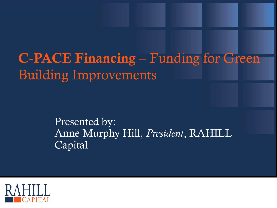# **C-PACE Financing** – Funding for Green Building Improvements

#### Presented by: Anne Murphy Hill, *President*, RAHILL Capital

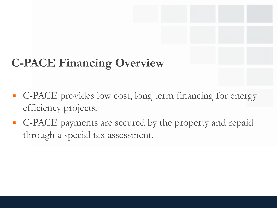# **C-PACE Financing Overview**

- C-PACE provides low cost, long term financing for energy efficiency projects.
- C-PACE payments are secured by the property and repaid through a special tax assessment.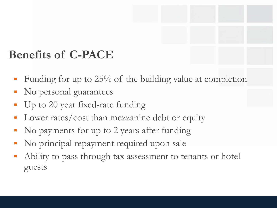### **Benefits of C-PACE**

- Funding for up to 25% of the building value at completion
- No personal guarantees
- Up to 20 year fixed-rate funding
- Lower rates/cost than mezzanine debt or equity
- No payments for up to 2 years after funding
- No principal repayment required upon sale
- Ability to pass through tax assessment to tenants or hotel guests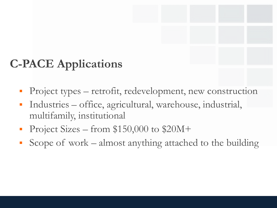## **C-PACE Applications**

- Project types retrofit, redevelopment, new construction
- Industries office, agricultural, warehouse, industrial, multifamily, institutional
- Project Sizes from \$150,000 to \$20M+
- Scope of work almost anything attached to the building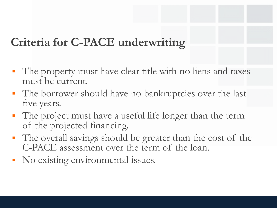## **Criteria for C-PACE underwriting**

- The property must have clear title with no liens and taxes must be current.
- The borrower should have no bankruptcies over the last five years.
- The project must have a useful life longer than the term of the projected financing.
- The overall savings should be greater than the cost of the C-PACE assessment over the term of the loan.
- No existing environmental issues.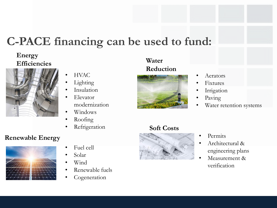### **C-PACE financing can be used to fund:**

#### **Energy Efficiencies**



#### • HVAC

- **Lighting**
- Insulation
- Elevator modernization
- Windows
- Roofing
- **Refrigeration**

#### **Renewable Energy**



- Fuel cell
- Solar
- Wind
- Renewable fuels
- Cogeneration

#### **Water Reduction**



## **Soft Costs**



- Permits
- Architectural & engineering plans
- Measurement & verification



- Aerators
- **Fixtures**
- **Irrigation**
- Paving
- Water retention systems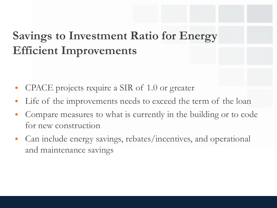## **Savings to Investment Ratio for Energy Efficient Improvements**

- CPACE projects require a SIR of 1.0 or greater
- Life of the improvements needs to exceed the term of the loan
- Compare measures to what is currently in the building or to code for new construction
- Can include energy savings, rebates/incentives, and operational and maintenance savings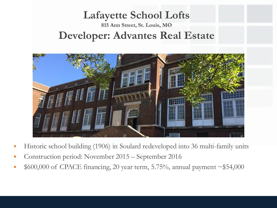#### **Lafayette School Lofts 815 Ann Street, St. Louis, MO Developer: Advantes Real Estate**



- Historic school building (1906) in Soulard redeveloped into 36 multi-family units
- Construction period: November 2015 September 2016
- $$600,000$  of CPACE financing, 20 year term, 5.75%, annual payment  $\sim $54,000$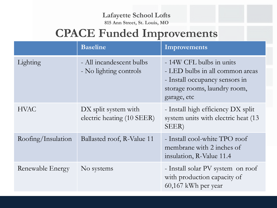#### **Lafayette School Lofts 815 Ann Street, St. Louis, MO**

## **CPACE Funded Improvements**

|                    | <b>Baseline</b>                                    | Improvements                                                                                                                                 |
|--------------------|----------------------------------------------------|----------------------------------------------------------------------------------------------------------------------------------------------|
| Lighting           | - All incandescent bulbs<br>- No lighting controls | - 14W CFL bulbs in units<br>- LED bulbs in all common areas<br>- Install occupancy sensors in<br>storage rooms, laundry room,<br>garage, etc |
| <b>HVAC</b>        | DX split system with<br>electric heating (10 SEER) | - Install high efficiency DX split<br>system units with electric heat (13<br>SEER)                                                           |
| Roofing/Insulation | Ballasted roof, R-Value 11                         | - Install cool-white TPO roof<br>membrane with 2 inches of<br>insulation, R-Value 11.4                                                       |
| Renewable Energy   | No systems                                         | - Install solar PV system on roof<br>with production capacity of<br>60,167 kWh per year                                                      |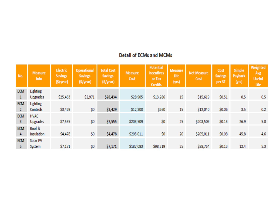#### **Detail of ECMs and MCMs**

| No.                          | <b>Measure</b><br>Info             | Electric<br><b>Savings</b><br>(\$/year) | <b>Operational</b><br><b>Savings</b><br>(\$/year) | <b>Total Cost</b><br><b>Savings</b><br>(\$/year) | <b>Measure</b><br>Cost | <b>Potential</b><br><b>Incentives</b><br>or Tax<br><b>Credits</b> | <b>Measure</b><br>Life<br>(yrs) | <b>Net Measure</b><br>Cost | Cost<br><b>Savings</b><br>per SF | <b>Simple</b><br>Payback<br>(yrs) | Weighted<br>Avg<br><b>Useful</b><br>Life |
|------------------------------|------------------------------------|-----------------------------------------|---------------------------------------------------|--------------------------------------------------|------------------------|-------------------------------------------------------------------|---------------------------------|----------------------------|----------------------------------|-----------------------------------|------------------------------------------|
| <b>ECM</b><br>1              | <b>Lighting</b><br><b>Upgrades</b> | \$25,463                                | \$2,971                                           | \$28,434                                         | \$28,905               | \$13,286                                                          | 15                              | \$15,619                   | \$0.51                           | 0.5                               | 0.5                                      |
| <b>ECM</b><br>$\overline{2}$ | Lighting<br>Controls               | \$3,429                                 | \$0                                               | \$3,429                                          | \$12,300               | \$260                                                             | 15                              | \$12,040                   | \$0.06                           | 3.5                               | 0.2                                      |
| <b>ECM</b><br>3              | <b>HVAC</b><br><b>Upgrades</b>     | \$7,555                                 | \$0                                               | \$7,555                                          | \$203,509              | \$0                                                               | 25                              | \$203,509                  | \$0.13                           | 26.9                              | 5.8                                      |
| <b>ECM</b><br>4              | Roof &<br>Insulation               | \$4,478                                 | \$0                                               | \$4,478                                          | \$205,011              | \$0                                                               | 20                              | \$205,011                  | \$0.08                           | 45.8                              | 4.6                                      |
| <b>ECM</b><br>5              | Solar PV<br>System                 | \$7,171                                 | \$0                                               | \$7,171                                          | \$187,083              | \$98,319                                                          | 25                              | \$88,764                   | \$0.13                           | 12.4                              | 5.3                                      |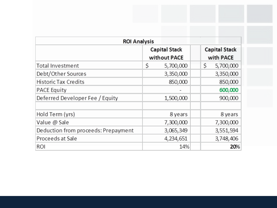| <b>ROI Analysis</b>                 |                                      |           |  |   |                                   |  |  |
|-------------------------------------|--------------------------------------|-----------|--|---|-----------------------------------|--|--|
|                                     | <b>Capital Stack</b><br>without PACE |           |  |   | <b>Capital Stack</b><br>with PACE |  |  |
| <b>Total Investment</b>             | \$                                   | 5,700,000 |  | Ś | 5,700,000                         |  |  |
| Debt/Other Sources                  |                                      | 3,350,000 |  |   | 3,350,000                         |  |  |
| <b>Historic Tax Credits</b>         |                                      | 850,000   |  |   | 850,000                           |  |  |
| <b>PACE Equity</b>                  |                                      |           |  |   | 600,000                           |  |  |
| Deferred Developer Fee / Equity     |                                      | 1,500,000 |  |   | 900,000                           |  |  |
|                                     |                                      |           |  |   |                                   |  |  |
| Hold Term (yrs)                     |                                      | 8 years   |  |   | 8 years                           |  |  |
| Value @ Sale                        |                                      | 7,300,000 |  |   | 7,300,000                         |  |  |
| Deduction from proceeds: Prepayment |                                      | 3,065,349 |  |   | 3,551,594                         |  |  |
| Proceeds at Sale                    |                                      | 4,234,651 |  |   | 3,748,406                         |  |  |
| <b>ROI</b>                          |                                      | 14%       |  |   | 20%                               |  |  |